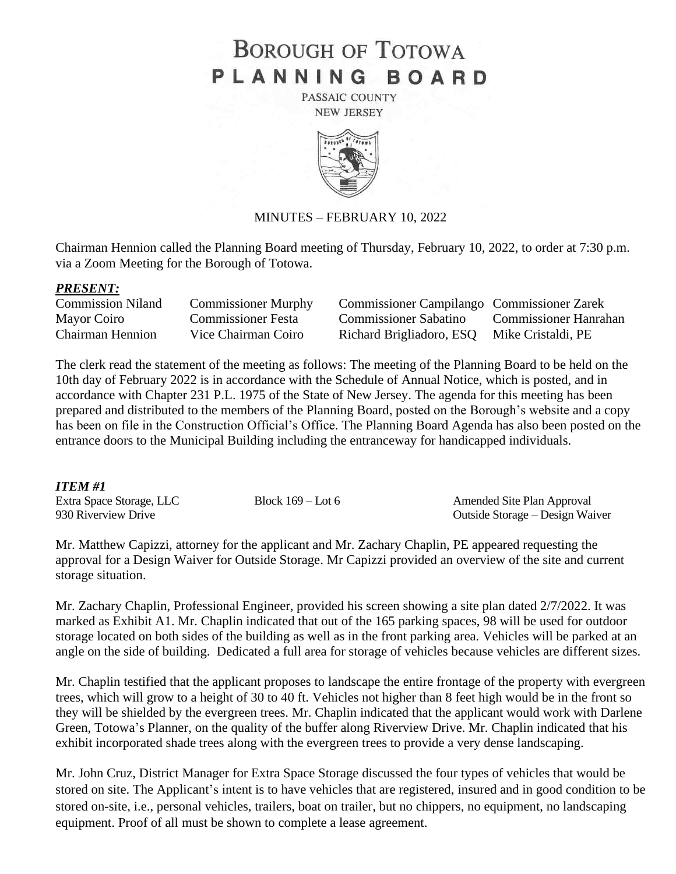# **BOROUGH OF TOTOWA** PLANNING BOARD

PASSAIC COUNTY **NEW JERSEY** 



#### MINUTES – FEBRUARY 10, 2022

Chairman Hennion called the Planning Board meeting of Thursday, February 10, 2022, to order at 7:30 p.m. via a Zoom Meeting for the Borough of Totowa.

#### *PRESENT:*

| <b>Commission Niland</b> | <b>Commissioner Murphy</b> | Commissioner Campilango Commissioner Zarek  |                       |
|--------------------------|----------------------------|---------------------------------------------|-----------------------|
| Mayor Coiro              | <b>Commissioner Festa</b>  | Commissioner Sabatino                       | Commissioner Hanrahan |
| <b>Chairman Hennion</b>  | Vice Chairman Coiro        | Richard Brigliadoro, ESQ Mike Cristaldi, PE |                       |

The clerk read the statement of the meeting as follows: The meeting of the Planning Board to be held on the 10th day of February 2022 is in accordance with the Schedule of Annual Notice, which is posted, and in accordance with Chapter 231 P.L. 1975 of the State of New Jersey. The agenda for this meeting has been prepared and distributed to the members of the Planning Board, posted on the Borough's website and a copy has been on file in the Construction Official's Office. The Planning Board Agenda has also been posted on the entrance doors to the Municipal Building including the entranceway for handicapped individuals.

#### *ITEM #1*

| ----------               |                     |                                 |
|--------------------------|---------------------|---------------------------------|
| Extra Space Storage, LLC | Block $169 -$ Lot 6 | Amended Site Plan Approval      |
| 930 Riverview Drive      |                     | Outside Storage – Design Waiver |

Mr. Matthew Capizzi, attorney for the applicant and Mr. Zachary Chaplin, PE appeared requesting the approval for a Design Waiver for Outside Storage. Mr Capizzi provided an overview of the site and current storage situation.

Mr. Zachary Chaplin, Professional Engineer, provided his screen showing a site plan dated 2/7/2022. It was marked as Exhibit A1. Mr. Chaplin indicated that out of the 165 parking spaces, 98 will be used for outdoor storage located on both sides of the building as well as in the front parking area. Vehicles will be parked at an angle on the side of building. Dedicated a full area for storage of vehicles because vehicles are different sizes.

Mr. Chaplin testified that the applicant proposes to landscape the entire frontage of the property with evergreen trees, which will grow to a height of 30 to 40 ft. Vehicles not higher than 8 feet high would be in the front so they will be shielded by the evergreen trees. Mr. Chaplin indicated that the applicant would work with Darlene Green, Totowa's Planner, on the quality of the buffer along Riverview Drive. Mr. Chaplin indicated that his exhibit incorporated shade trees along with the evergreen trees to provide a very dense landscaping.

Mr. John Cruz, District Manager for Extra Space Storage discussed the four types of vehicles that would be stored on site. The Applicant's intent is to have vehicles that are registered, insured and in good condition to be stored on-site, i.e., personal vehicles, trailers, boat on trailer, but no chippers, no equipment, no landscaping equipment. Proof of all must be shown to complete a lease agreement.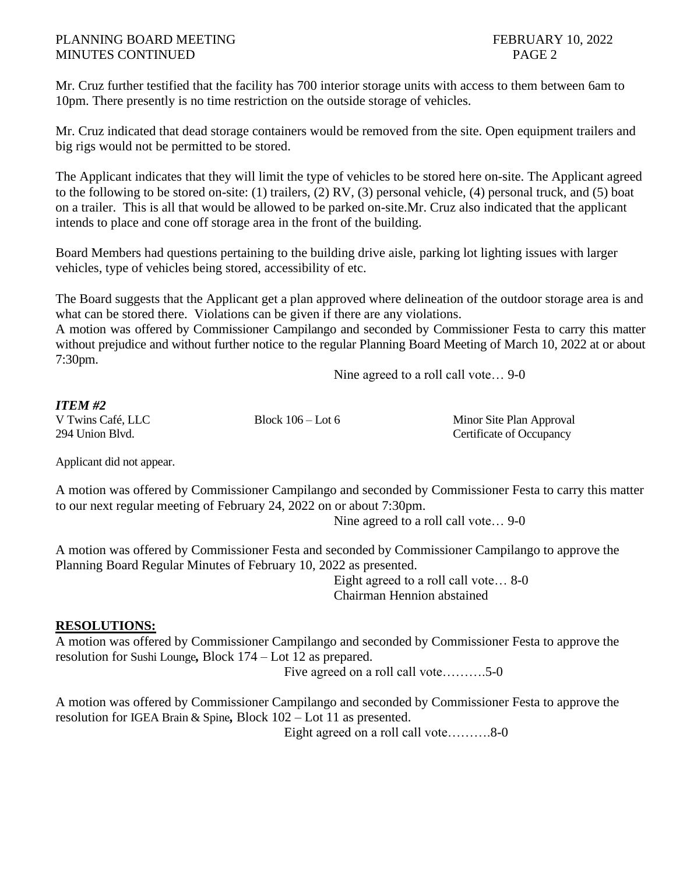## PLANNING BOARD MEETING FEBRUARY 10, 2022 MINUTES CONTINUED PAGE 2

Mr. Cruz further testified that the facility has 700 interior storage units with access to them between 6am to 10pm. There presently is no time restriction on the outside storage of vehicles.

Mr. Cruz indicated that dead storage containers would be removed from the site. Open equipment trailers and big rigs would not be permitted to be stored.

The Applicant indicates that they will limit the type of vehicles to be stored here on-site. The Applicant agreed to the following to be stored on-site: (1) trailers, (2) RV, (3) personal vehicle, (4) personal truck, and (5) boat on a trailer. This is all that would be allowed to be parked on-site.Mr. Cruz also indicated that the applicant intends to place and cone off storage area in the front of the building.

Board Members had questions pertaining to the building drive aisle, parking lot lighting issues with larger vehicles, type of vehicles being stored, accessibility of etc.

The Board suggests that the Applicant get a plan approved where delineation of the outdoor storage area is and what can be stored there. Violations can be given if there are any violations.

A motion was offered by Commissioner Campilango and seconded by Commissioner Festa to carry this matter without prejudice and without further notice to the regular Planning Board Meeting of March 10, 2022 at or about 7:30pm.

Nine agreed to a roll call vote… 9-0

### *ITEM #2*

V Twins Café, LLC Block 106 – Lot 6 Minor Site Plan Approval 294 Union Blvd. Certificate of Occupancy

Applicant did not appear.

A motion was offered by Commissioner Campilango and seconded by Commissioner Festa to carry this matter to our next regular meeting of February 24, 2022 on or about 7:30pm.

Nine agreed to a roll call vote… 9-0

A motion was offered by Commissioner Festa and seconded by Commissioner Campilango to approve the Planning Board Regular Minutes of February 10, 2022 as presented.

Eight agreed to a roll call vote… 8-0 Chairman Hennion abstained

# **RESOLUTIONS:**

A motion was offered by Commissioner Campilango and seconded by Commissioner Festa to approve the resolution for Sushi Lounge*,* Block 174 – Lot 12 as prepared.

Five agreed on a roll call vote……….5-0

A motion was offered by Commissioner Campilango and seconded by Commissioner Festa to approve the resolution for IGEA Brain & Spine*,* Block 102 – Lot 11 as presented.

Eight agreed on a roll call vote……….8-0